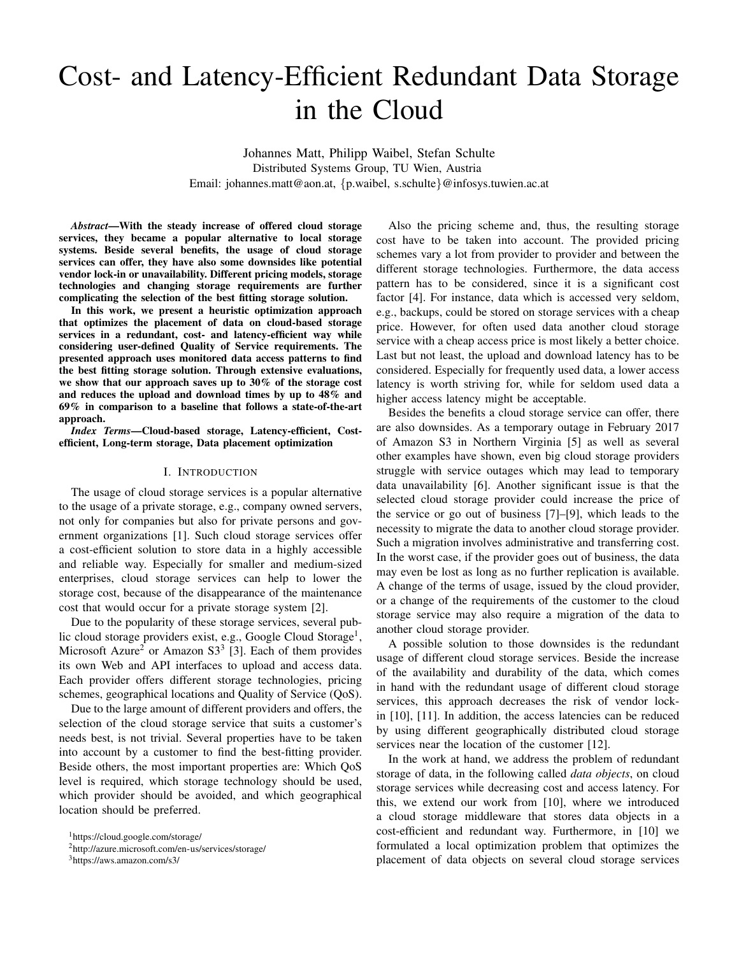# Cost- and Latency-Efficient Redundant Data Storage in the Cloud

Johannes Matt, Philipp Waibel, Stefan Schulte Distributed Systems Group, TU Wien, Austria Email: johannes.matt@aon.at, {p.waibel, s.schulte}@infosys.tuwien.ac.at

*Abstract*—With the steady increase of offered cloud storage services, they became a popular alternative to local storage systems. Beside several benefits, the usage of cloud storage services can offer, they have also some downsides like potential vendor lock-in or unavailability. Different pricing models, storage technologies and changing storage requirements are further complicating the selection of the best fitting storage solution.

In this work, we present a heuristic optimization approach that optimizes the placement of data on cloud-based storage services in a redundant, cost- and latency-efficient way while considering user-defined Quality of Service requirements. The presented approach uses monitored data access patterns to find the best fitting storage solution. Through extensive evaluations, we show that our approach saves up to 30% of the storage cost and reduces the upload and download times by up to 48% and 69% in comparison to a baseline that follows a state-of-the-art approach.

*Index Terms*—Cloud-based storage, Latency-efficient, Costefficient, Long-term storage, Data placement optimization

#### I. INTRODUCTION

The usage of cloud storage services is a popular alternative to the usage of a private storage, e.g., company owned servers, not only for companies but also for private persons and government organizations [1]. Such cloud storage services offer a cost-efficient solution to store data in a highly accessible and reliable way. Especially for smaller and medium-sized enterprises, cloud storage services can help to lower the storage cost, because of the disappearance of the maintenance cost that would occur for a private storage system [2].

Due to the popularity of these storage services, several public cloud storage providers exist, e.g., Google Cloud Storage<sup>1</sup>, Microsoft Azure<sup>2</sup> or Amazon S3<sup>3</sup> [3]. Each of them provides its own Web and API interfaces to upload and access data. Each provider offers different storage technologies, pricing schemes, geographical locations and Quality of Service (QoS).

Due to the large amount of different providers and offers, the selection of the cloud storage service that suits a customer's needs best, is not trivial. Several properties have to be taken into account by a customer to find the best-fitting provider. Beside others, the most important properties are: Which QoS level is required, which storage technology should be used, which provider should be avoided, and which geographical location should be preferred.

<sup>1</sup>https://cloud.google.com/storage/

Also the pricing scheme and, thus, the resulting storage cost have to be taken into account. The provided pricing schemes vary a lot from provider to provider and between the different storage technologies. Furthermore, the data access pattern has to be considered, since it is a significant cost factor [4]. For instance, data which is accessed very seldom, e.g., backups, could be stored on storage services with a cheap price. However, for often used data another cloud storage service with a cheap access price is most likely a better choice. Last but not least, the upload and download latency has to be considered. Especially for frequently used data, a lower access latency is worth striving for, while for seldom used data a higher access latency might be acceptable.

Besides the benefits a cloud storage service can offer, there are also downsides. As a temporary outage in February 2017 of Amazon S3 in Northern Virginia [5] as well as several other examples have shown, even big cloud storage providers struggle with service outages which may lead to temporary data unavailability [6]. Another significant issue is that the selected cloud storage provider could increase the price of the service or go out of business [7]–[9], which leads to the necessity to migrate the data to another cloud storage provider. Such a migration involves administrative and transferring cost. In the worst case, if the provider goes out of business, the data may even be lost as long as no further replication is available. A change of the terms of usage, issued by the cloud provider, or a change of the requirements of the customer to the cloud storage service may also require a migration of the data to another cloud storage provider.

A possible solution to those downsides is the redundant usage of different cloud storage services. Beside the increase of the availability and durability of the data, which comes in hand with the redundant usage of different cloud storage services, this approach decreases the risk of vendor lockin [10], [11]. In addition, the access latencies can be reduced by using different geographically distributed cloud storage services near the location of the customer [12].

In the work at hand, we address the problem of redundant storage of data, in the following called *data objects*, on cloud storage services while decreasing cost and access latency. For this, we extend our work from [10], where we introduced a cloud storage middleware that stores data objects in a cost-efficient and redundant way. Furthermore, in [10] we formulated a local optimization problem that optimizes the placement of data objects on several cloud storage services

<sup>2</sup>http://azure.microsoft.com/en-us/services/storage/

<sup>3</sup>https://aws.amazon.com/s3/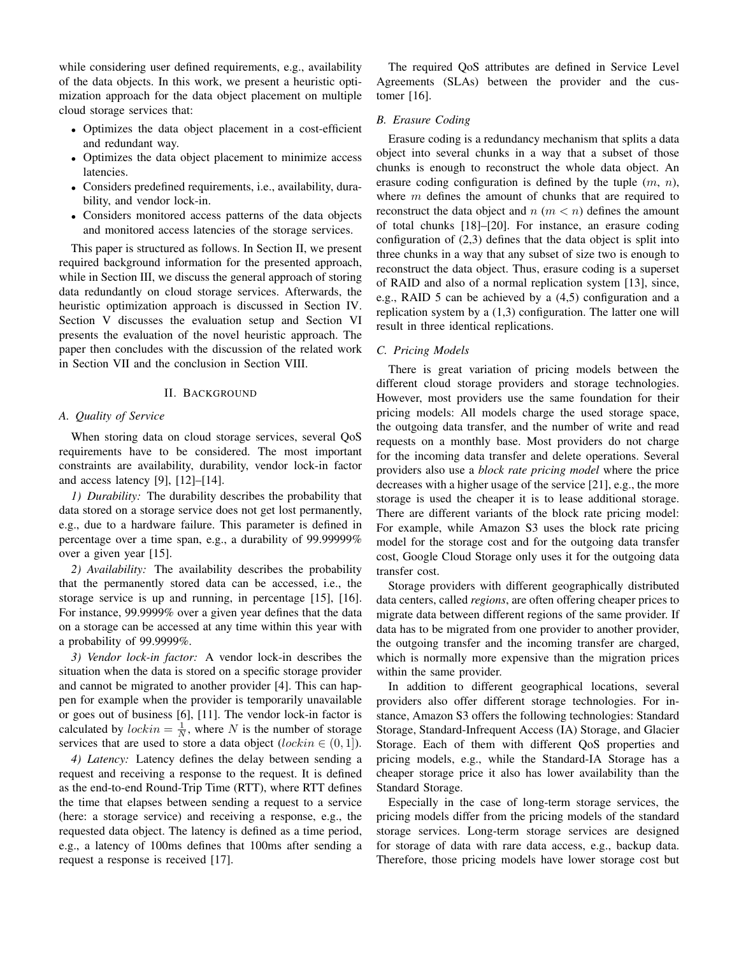while considering user defined requirements, e.g., availability of the data objects. In this work, we present a heuristic optimization approach for the data object placement on multiple cloud storage services that:

- Optimizes the data object placement in a cost-efficient and redundant way.
- Optimizes the data object placement to minimize access latencies.
- Considers predefined requirements, i.e., availability, durability, and vendor lock-in.
- Considers monitored access patterns of the data objects and monitored access latencies of the storage services.

This paper is structured as follows. In Section II, we present required background information for the presented approach, while in Section III, we discuss the general approach of storing data redundantly on cloud storage services. Afterwards, the heuristic optimization approach is discussed in Section IV. Section V discusses the evaluation setup and Section VI presents the evaluation of the novel heuristic approach. The paper then concludes with the discussion of the related work in Section VII and the conclusion in Section VIII.

## II. BACKGROUND

# *A. Quality of Service*

When storing data on cloud storage services, several QoS requirements have to be considered. The most important constraints are availability, durability, vendor lock-in factor and access latency [9], [12]–[14].

*1) Durability:* The durability describes the probability that data stored on a storage service does not get lost permanently, e.g., due to a hardware failure. This parameter is defined in percentage over a time span, e.g., a durability of 99.99999% over a given year [15].

*2) Availability:* The availability describes the probability that the permanently stored data can be accessed, i.e., the storage service is up and running, in percentage [15], [16]. For instance, 99.9999% over a given year defines that the data on a storage can be accessed at any time within this year with a probability of 99.9999%.

*3) Vendor lock-in factor:* A vendor lock-in describes the situation when the data is stored on a specific storage provider and cannot be migrated to another provider [4]. This can happen for example when the provider is temporarily unavailable or goes out of business [6], [11]. The vendor lock-in factor is calculated by  $lockin = \frac{1}{N}$ , where N is the number of storage services that are used to store a data object (*lockin*  $\in$  (0, 1)).

*4) Latency:* Latency defines the delay between sending a request and receiving a response to the request. It is defined as the end-to-end Round-Trip Time (RTT), where RTT defines the time that elapses between sending a request to a service (here: a storage service) and receiving a response, e.g., the requested data object. The latency is defined as a time period, e.g., a latency of 100ms defines that 100ms after sending a request a response is received [17].

The required QoS attributes are defined in Service Level Agreements (SLAs) between the provider and the customer [16].

#### *B. Erasure Coding*

Erasure coding is a redundancy mechanism that splits a data object into several chunks in a way that a subset of those chunks is enough to reconstruct the whole data object. An erasure coding configuration is defined by the tuple  $(m, n)$ , where  $m$  defines the amount of chunks that are required to reconstruct the data object and  $n (m < n)$  defines the amount of total chunks [18]–[20]. For instance, an erasure coding configuration of (2,3) defines that the data object is split into three chunks in a way that any subset of size two is enough to reconstruct the data object. Thus, erasure coding is a superset of RAID and also of a normal replication system [13], since, e.g., RAID 5 can be achieved by a (4,5) configuration and a replication system by a (1,3) configuration. The latter one will result in three identical replications.

#### *C. Pricing Models*

There is great variation of pricing models between the different cloud storage providers and storage technologies. However, most providers use the same foundation for their pricing models: All models charge the used storage space, the outgoing data transfer, and the number of write and read requests on a monthly base. Most providers do not charge for the incoming data transfer and delete operations. Several providers also use a *block rate pricing model* where the price decreases with a higher usage of the service [21], e.g., the more storage is used the cheaper it is to lease additional storage. There are different variants of the block rate pricing model: For example, while Amazon S3 uses the block rate pricing model for the storage cost and for the outgoing data transfer cost, Google Cloud Storage only uses it for the outgoing data transfer cost.

Storage providers with different geographically distributed data centers, called *regions*, are often offering cheaper prices to migrate data between different regions of the same provider. If data has to be migrated from one provider to another provider, the outgoing transfer and the incoming transfer are charged, which is normally more expensive than the migration prices within the same provider.

In addition to different geographical locations, several providers also offer different storage technologies. For instance, Amazon S3 offers the following technologies: Standard Storage, Standard-Infrequent Access (IA) Storage, and Glacier Storage. Each of them with different QoS properties and pricing models, e.g., while the Standard-IA Storage has a cheaper storage price it also has lower availability than the Standard Storage.

Especially in the case of long-term storage services, the pricing models differ from the pricing models of the standard storage services. Long-term storage services are designed for storage of data with rare data access, e.g., backup data. Therefore, those pricing models have lower storage cost but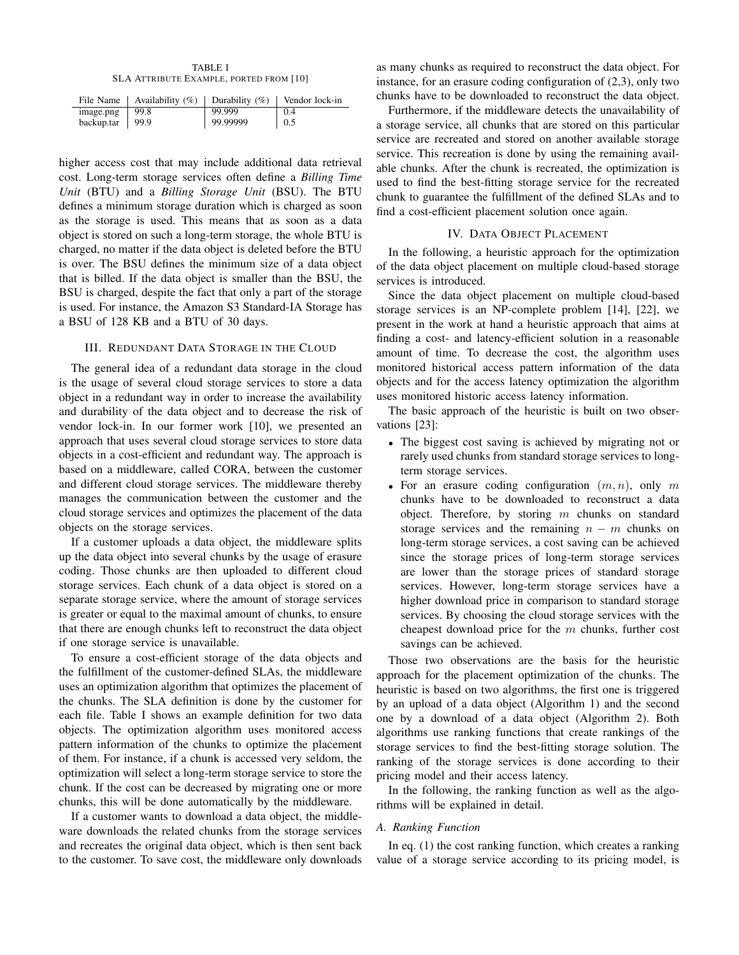TABLE I SLA ATTRIBUTE EXAMPLE, PORTED FROM [10]

|                     | File Name   Availability $(\%)$   Durability $(\%)$ |          | $\perp$ Vendor lock-in |
|---------------------|-----------------------------------------------------|----------|------------------------|
| image.png           | 99.8                                                | 99.999   | 0.4                    |
| backup.tar   $99.9$ |                                                     | 99.99999 | $\perp$ 0.5            |

higher access cost that may include additional data retrieval cost. Long-term storage services often define a *Billing Time Unit* (BTU) and a *Billing Storage Unit* (BSU). The BTU defines a minimum storage duration which is charged as soon as the storage is used. This means that as soon as a data object is stored on such a long-term storage, the whole BTU is charged, no matter if the data object is deleted before the BTU is over. The BSU defines the minimum size of a data object that is billed. If the data object is smaller than the BSU, the BSU is charged, despite the fact that only a part of the storage is used. For instance, the Amazon S3 Standard-IA Storage has a BSU of 128 KB and a BTU of 30 days.

# III. REDUNDANT DATA STORAGE IN THE CLOUD

The general idea of a redundant data storage in the cloud is the usage of several cloud storage services to store a data object in a redundant way in order to increase the availability and durability of the data object and to decrease the risk of vendor lock-in. In our former work [10], we presented an approach that uses several cloud storage services to store data objects in a cost-efficient and redundant way. The approach is based on a middleware, called CORA, between the customer and different cloud storage services. The middleware thereby manages the communication between the customer and the cloud storage services and optimizes the placement of the data objects on the storage services.

If a customer uploads a data object, the middleware splits up the data object into several chunks by the usage of erasure coding. Those chunks are then uploaded to different cloud storage services. Each chunk of a data object is stored on a separate storage service, where the amount of storage services is greater or equal to the maximal amount of chunks, to ensure that there are enough chunks left to reconstruct the data object if one storage service is unavailable.

To ensure a cost-efficient storage of the data objects and the fulfillment of the customer-defined SLAs, the middleware uses an optimization algorithm that optimizes the placement of the chunks. The SLA definition is done by the customer for each file. Table I shows an example definition for two data objects. The optimization algorithm uses monitored access pattern information of the chunks to optimize the placement of them. For instance, if a chunk is accessed very seldom, the optimization will select a long-term storage service to store the chunk. If the cost can be decreased by migrating one or more chunks, this will be done automatically by the middleware.

If a customer wants to download a data object, the middleware downloads the related chunks from the storage services and recreates the original data object, which is then sent back to the customer. To save cost, the middleware only downloads as many chunks as required to reconstruct the data object. For instance, for an erasure coding configuration of (2,3), only two chunks have to be downloaded to reconstruct the data object.

Furthermore, if the middleware detects the unavailability of a storage service, all chunks that are stored on this particular service are recreated and stored on another available storage service. This recreation is done by using the remaining available chunks. After the chunk is recreated, the optimization is used to find the best-fitting storage service for the recreated chunk to guarantee the fulfillment of the defined SLAs and to find a cost-efficient placement solution once again.

#### IV. DATA OBJECT PLACEMENT

In the following, a heuristic approach for the optimization of the data object placement on multiple cloud-based storage services is introduced.

Since the data object placement on multiple cloud-based storage services is an NP-complete problem [14], [22], we present in the work at hand a heuristic approach that aims at finding a cost- and latency-efficient solution in a reasonable amount of time. To decrease the cost, the algorithm uses monitored historical access pattern information of the data objects and for the access latency optimization the algorithm uses monitored historic access latency information.

The basic approach of the heuristic is built on two observations [23]:

- The biggest cost saving is achieved by migrating not or rarely used chunks from standard storage services to longterm storage services.
- For an erasure coding configuration  $(m, n)$ , only m chunks have to be downloaded to reconstruct a data object. Therefore, by storing m chunks on standard storage services and the remaining  $n - m$  chunks on long-term storage services, a cost saving can be achieved since the storage prices of long-term storage services are lower than the storage prices of standard storage services. However, long-term storage services have a higher download price in comparison to standard storage services. By choosing the cloud storage services with the cheapest download price for the  $m$  chunks, further cost savings can be achieved.

Those two observations are the basis for the heuristic approach for the placement optimization of the chunks. The heuristic is based on two algorithms, the first one is triggered by an upload of a data object (Algorithm 1) and the second one by a download of a data object (Algorithm 2). Both algorithms use ranking functions that create rankings of the storage services to find the best-fitting storage solution. The ranking of the storage services is done according to their pricing model and their access latency.

In the following, the ranking function as well as the algorithms will be explained in detail.

#### *A. Ranking Function*

In eq. (1) the cost ranking function, which creates a ranking value of a storage service according to its pricing model, is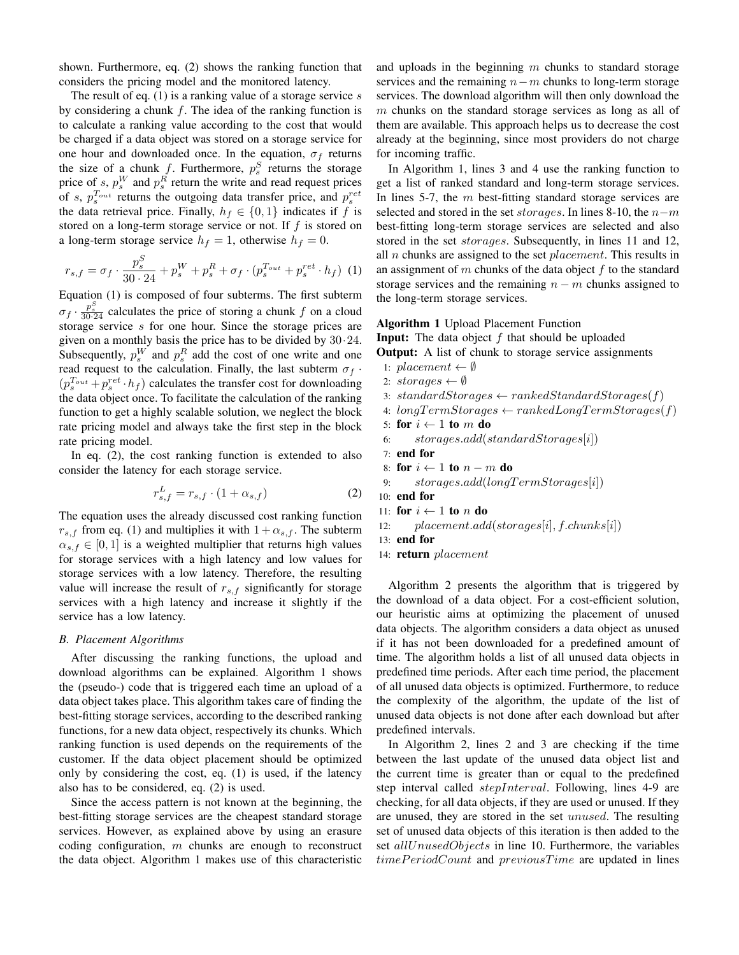shown. Furthermore, eq. (2) shows the ranking function that considers the pricing model and the monitored latency.

The result of eq.  $(1)$  is a ranking value of a storage service s by considering a chunk  $f$ . The idea of the ranking function is to calculate a ranking value according to the cost that would be charged if a data object was stored on a storage service for one hour and downloaded once. In the equation,  $\sigma_f$  returns the size of a chunk f. Furthermore,  $p_s^S$  returns the storage price of s,  $p_s^W$  and  $p_s^R$  return the write and read request prices of s,  $p_s^{T_{out}}$  returns the outgoing data transfer price, and  $p_s^{ret}$ the data retrieval price. Finally,  $h_f \in \{0, 1\}$  indicates if f is stored on a long-term storage service or not. If  $f$  is stored on a long-term storage service  $h_f = 1$ , otherwise  $h_f = 0$ .

$$
r_{s,f} = \sigma_f \cdot \frac{p_s^S}{30 \cdot 24} + p_s^W + p_s^R + \sigma_f \cdot (p_s^{T_{out}} + p_s^{ret} \cdot h_f) \tag{1}
$$

Equation (1) is composed of four subterms. The first subterm  $\sigma_f \cdot \frac{p_s^S}{30.24}$  calculates the price of storing a chunk f on a cloud storage service s for one hour. Since the storage prices are given on a monthly basis the price has to be divided by 30·24. Subsequently,  $p_s^W$  and  $p_s^R$  add the cost of one write and one read request to the calculation. Finally, the last subterm  $\sigma_f$ .  $(p_s^{T_{out}}+p_s^{ret} \cdot h_f)$  calculates the transfer cost for downloading the data object once. To facilitate the calculation of the ranking function to get a highly scalable solution, we neglect the block rate pricing model and always take the first step in the block rate pricing model.

In eq. (2), the cost ranking function is extended to also consider the latency for each storage service.

$$
r_{s,f}^L = r_{s,f} \cdot (1 + \alpha_{s,f}) \tag{2}
$$

The equation uses the already discussed cost ranking function  $r_{s,f}$  from eq. (1) and multiplies it with  $1 + \alpha_{s,f}$ . The subterm  $\alpha_{s,f} \in [0,1]$  is a weighted multiplier that returns high values for storage services with a high latency and low values for storage services with a low latency. Therefore, the resulting value will increase the result of  $r_{s,f}$  significantly for storage services with a high latency and increase it slightly if the service has a low latency.

#### *B. Placement Algorithms*

After discussing the ranking functions, the upload and download algorithms can be explained. Algorithm 1 shows the (pseudo-) code that is triggered each time an upload of a data object takes place. This algorithm takes care of finding the best-fitting storage services, according to the described ranking functions, for a new data object, respectively its chunks. Which ranking function is used depends on the requirements of the customer. If the data object placement should be optimized only by considering the cost, eq. (1) is used, if the latency also has to be considered, eq. (2) is used.

Since the access pattern is not known at the beginning, the best-fitting storage services are the cheapest standard storage services. However, as explained above by using an erasure coding configuration,  $m$  chunks are enough to reconstruct the data object. Algorithm 1 makes use of this characteristic and uploads in the beginning  $m$  chunks to standard storage services and the remaining  $n-m$  chunks to long-term storage services. The download algorithm will then only download the  $m$  chunks on the standard storage services as long as all of them are available. This approach helps us to decrease the cost already at the beginning, since most providers do not charge for incoming traffic.

In Algorithm 1, lines 3 and 4 use the ranking function to get a list of ranked standard and long-term storage services. In lines 5-7, the  $m$  best-fitting standard storage services are selected and stored in the set storages. In lines 8-10, the  $n-m$ best-fitting long-term storage services are selected and also stored in the set *storages*. Subsequently, in lines 11 and 12, all  $n$  chunks are assigned to the set  $placement$ . This results in an assignment of m chunks of the data object  $f$  to the standard storage services and the remaining  $n - m$  chunks assigned to the long-term storage services.

#### Algorithm 1 Upload Placement Function

**Input:** The data object  $f$  that should be uploaded **Output:** A list of chunk to storage service assignments

- 1: placement  $\leftarrow \emptyset$
- 2: storages  $\leftarrow \emptyset$
- 3: standardStorages  $\leftarrow$  rankedStandardStorages(f)
- 4:  $longTermStorage \leftarrow rankedLongTermStorage(f)$
- 5: for  $i \leftarrow 1$  to m do
- 6: storages.add(standardStorages[i])
- 7: end for
- 8: for  $i \leftarrow 1$  to  $n m$  do
- 9:  $storage.add(longTermStorage[i])$
- 10: end for
- 11: for  $i \leftarrow 1$  to n do
- 12:  $placent.add(store[i], f.chunks[i])$
- 13: end for
- 14: **return** placement

Algorithm 2 presents the algorithm that is triggered by the download of a data object. For a cost-efficient solution, our heuristic aims at optimizing the placement of unused data objects. The algorithm considers a data object as unused if it has not been downloaded for a predefined amount of time. The algorithm holds a list of all unused data objects in predefined time periods. After each time period, the placement of all unused data objects is optimized. Furthermore, to reduce the complexity of the algorithm, the update of the list of unused data objects is not done after each download but after predefined intervals.

In Algorithm 2, lines 2 and 3 are checking if the time between the last update of the unused data object list and the current time is greater than or equal to the predefined step interval called *stepInterval*. Following, lines 4-9 are checking, for all data objects, if they are used or unused. If they are unused, they are stored in the set unused. The resulting set of unused data objects of this iteration is then added to the set allUnusedObjects in line 10. Furthermore, the variables  $timePeriodCount$  and  $previousTime$  are updated in lines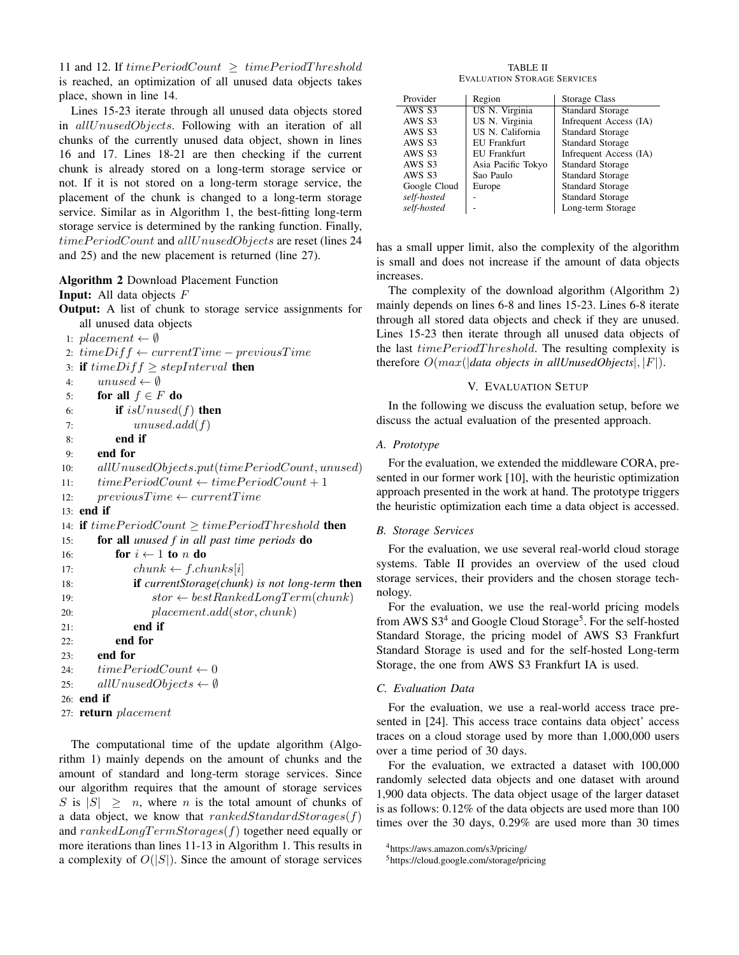11 and 12. If  $timePeriodCount \ge timePeriodThreshold$ is reached, an optimization of all unused data objects takes place, shown in line 14.

Lines 15-23 iterate through all unused data objects stored in allUnusedObjects. Following with an iteration of all chunks of the currently unused data object, shown in lines 16 and 17. Lines 18-21 are then checking if the current chunk is already stored on a long-term storage service or not. If it is not stored on a long-term storage service, the placement of the chunk is changed to a long-term storage service. Similar as in Algorithm 1, the best-fitting long-term storage service is determined by the ranking function. Finally,  $timePeriodCount$  and  $allUnusedObjects$  are reset (lines 24 and 25) and the new placement is returned (line 27).

Algorithm 2 Download Placement Function

```
Input: All data objects F
```
- Output: A list of chunk to storage service assignments for all unused data objects
- 1: placement  $\leftarrow \emptyset$

```
2: timeDiff \leftarrow currentTime - previousTime
```
3: if  $timeDiff \geq stepInterval$  then

```
4: unused \leftarrow \emptyset
```

```
5: for all f \in F do
```
6: **if** is  $Unused(f)$  then

```
7: unused.add(f)
```

```
8: end if
```

```
9: end for
```

```
10: \qquad all UnusedObjects.put(timePeriodCount, unused)
```

```
11: timePeriodCount \leftarrow timePeriodCount + 1
```

```
12: previousTime \leftarrow currentTime
```

```
13: end if
```

```
14: if timePeriodCount \ge timePeriodThreshold then
15: for all unused f in all past time periods do
16: for i \leftarrow 1 to n do
17: chunk \leftarrow fchunks[i]18: if currentStorage(chunk) is not long-term then
19: stor \leftarrow bestRankedLongTerm(charnk)20: placement.add(stor, chunk)
21: end if
22: end for
23: end for
24: timePeriodCount \leftarrow 025: allUnusedObjects \leftarrow \emptyset26: end if
27: return placement
```
The computational time of the update algorithm (Algorithm 1) mainly depends on the amount of chunks and the amount of standard and long-term storage services. Since our algorithm requires that the amount of storage services S is  $|S| \geq n$ , where n is the total amount of chunks of a data object, we know that  $rankedStandardStorage(f)$ and  $rankedLongTermStorage(f)$  together need equally or more iterations than lines 11-13 in Algorithm 1. This results in a complexity of  $O(|S|)$ . Since the amount of storage services

TABLE II EVALUATION STORAGE SERVICES

| Provider     | Region              | Storage Class           |
|--------------|---------------------|-------------------------|
| AWS S3       | US N. Virginia      | <b>Standard Storage</b> |
| AWS S3       | US N. Virginia      | Infrequent Access (IA)  |
| AWS S3       | US N. California    | <b>Standard Storage</b> |
| AWS S3       | <b>EU</b> Frankfurt | <b>Standard Storage</b> |
| AWS S3       | <b>EU</b> Frankfurt | Infrequent Access (IA)  |
| AWS S3       | Asia Pacific Tokyo  | Standard Storage        |
| AWS S3       | Sao Paulo           | <b>Standard Storage</b> |
| Google Cloud | Europe              | Standard Storage        |
| self-hosted  |                     | <b>Standard Storage</b> |
| self-hosted  |                     | Long-term Storage       |

has a small upper limit, also the complexity of the algorithm is small and does not increase if the amount of data objects increases.

The complexity of the download algorithm (Algorithm 2) mainly depends on lines 6-8 and lines 15-23. Lines 6-8 iterate through all stored data objects and check if they are unused. Lines 15-23 then iterate through all unused data objects of the last  $timePeriodThreshold$ . The resulting complexity is therefore O(max(|*data objects in allUnusedObjects*|, |F|).

## V. EVALUATION SETUP

In the following we discuss the evaluation setup, before we discuss the actual evaluation of the presented approach.

## *A. Prototype*

For the evaluation, we extended the middleware CORA, presented in our former work [10], with the heuristic optimization approach presented in the work at hand. The prototype triggers the heuristic optimization each time a data object is accessed.

#### *B. Storage Services*

For the evaluation, we use several real-world cloud storage systems. Table II provides an overview of the used cloud storage services, their providers and the chosen storage technology.

For the evaluation, we use the real-world pricing models from AWS S3<sup>4</sup> and Google Cloud Storage<sup>5</sup>. For the self-hosted Standard Storage, the pricing model of AWS S3 Frankfurt Standard Storage is used and for the self-hosted Long-term Storage, the one from AWS S3 Frankfurt IA is used.

## *C. Evaluation Data*

For the evaluation, we use a real-world access trace presented in [24]. This access trace contains data object' access traces on a cloud storage used by more than 1,000,000 users over a time period of 30 days.

For the evaluation, we extracted a dataset with 100,000 randomly selected data objects and one dataset with around 1,900 data objects. The data object usage of the larger dataset is as follows: 0.12% of the data objects are used more than 100 times over the 30 days, 0.29% are used more than 30 times

```
4https://aws.amazon.com/s3/pricing/
```

```
5https://cloud.google.com/storage/pricing
```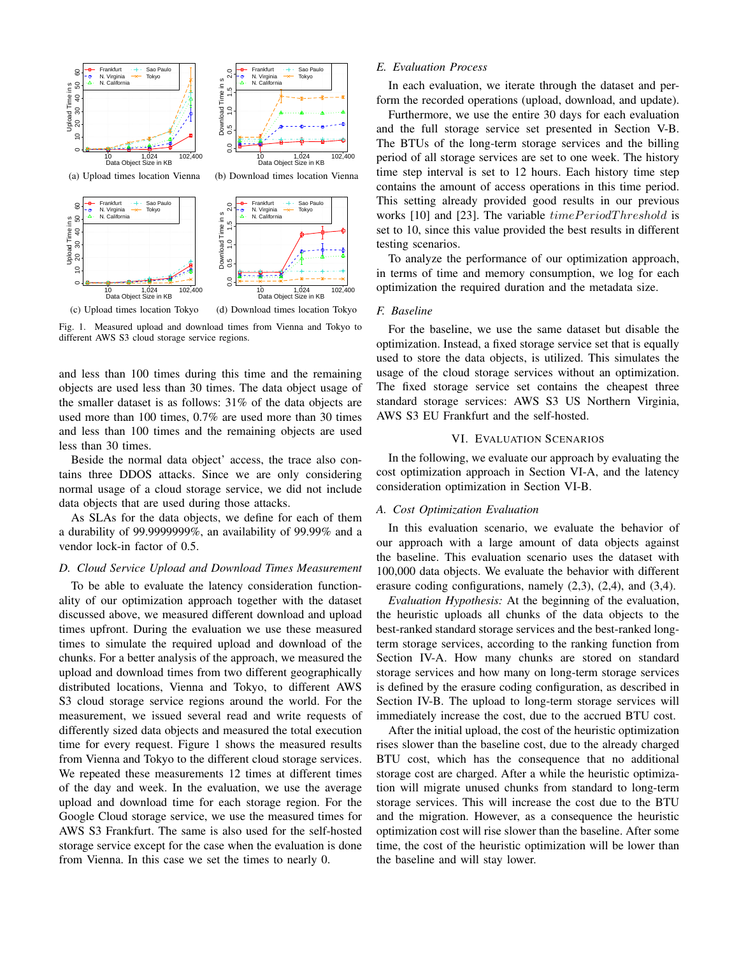

Fig. 1. Measured upload and download times from Vienna and Tokyo to different AWS S3 cloud storage service regions.

and less than 100 times during this time and the remaining objects are used less than 30 times. The data object usage of the smaller dataset is as follows: 31% of the data objects are used more than 100 times, 0.7% are used more than 30 times and less than 100 times and the remaining objects are used less than 30 times.

Beside the normal data object' access, the trace also contains three DDOS attacks. Since we are only considering normal usage of a cloud storage service, we did not include data objects that are used during those attacks.

As SLAs for the data objects, we define for each of them a durability of 99.9999999%, an availability of 99.99% and a vendor lock-in factor of 0.5.

### *D. Cloud Service Upload and Download Times Measurement*

To be able to evaluate the latency consideration functionality of our optimization approach together with the dataset discussed above, we measured different download and upload times upfront. During the evaluation we use these measured times to simulate the required upload and download of the chunks. For a better analysis of the approach, we measured the upload and download times from two different geographically distributed locations, Vienna and Tokyo, to different AWS S3 cloud storage service regions around the world. For the measurement, we issued several read and write requests of differently sized data objects and measured the total execution time for every request. Figure 1 shows the measured results from Vienna and Tokyo to the different cloud storage services. We repeated these measurements 12 times at different times of the day and week. In the evaluation, we use the average upload and download time for each storage region. For the Google Cloud storage service, we use the measured times for AWS S3 Frankfurt. The same is also used for the self-hosted storage service except for the case when the evaluation is done from Vienna. In this case we set the times to nearly 0.

# *E. Evaluation Process*

In each evaluation, we iterate through the dataset and perform the recorded operations (upload, download, and update).

Furthermore, we use the entire 30 days for each evaluation and the full storage service set presented in Section V-B. The BTUs of the long-term storage services and the billing period of all storage services are set to one week. The history time step interval is set to 12 hours. Each history time step contains the amount of access operations in this time period. This setting already provided good results in our previous works [10] and [23]. The variable  $timePeriodThreshold$  is set to 10, since this value provided the best results in different testing scenarios.

To analyze the performance of our optimization approach, in terms of time and memory consumption, we log for each optimization the required duration and the metadata size.

#### *F. Baseline*

For the baseline, we use the same dataset but disable the optimization. Instead, a fixed storage service set that is equally used to store the data objects, is utilized. This simulates the usage of the cloud storage services without an optimization. The fixed storage service set contains the cheapest three standard storage services: AWS S3 US Northern Virginia, AWS S3 EU Frankfurt and the self-hosted.

## VI. EVALUATION SCENARIOS

In the following, we evaluate our approach by evaluating the cost optimization approach in Section VI-A, and the latency consideration optimization in Section VI-B.

## *A. Cost Optimization Evaluation*

In this evaluation scenario, we evaluate the behavior of our approach with a large amount of data objects against the baseline. This evaluation scenario uses the dataset with 100,000 data objects. We evaluate the behavior with different erasure coding configurations, namely (2,3), (2,4), and (3,4).

*Evaluation Hypothesis:* At the beginning of the evaluation, the heuristic uploads all chunks of the data objects to the best-ranked standard storage services and the best-ranked longterm storage services, according to the ranking function from Section IV-A. How many chunks are stored on standard storage services and how many on long-term storage services is defined by the erasure coding configuration, as described in Section IV-B. The upload to long-term storage services will immediately increase the cost, due to the accrued BTU cost.

After the initial upload, the cost of the heuristic optimization rises slower than the baseline cost, due to the already charged BTU cost, which has the consequence that no additional storage cost are charged. After a while the heuristic optimization will migrate unused chunks from standard to long-term storage services. This will increase the cost due to the BTU and the migration. However, as a consequence the heuristic optimization cost will rise slower than the baseline. After some time, the cost of the heuristic optimization will be lower than the baseline and will stay lower.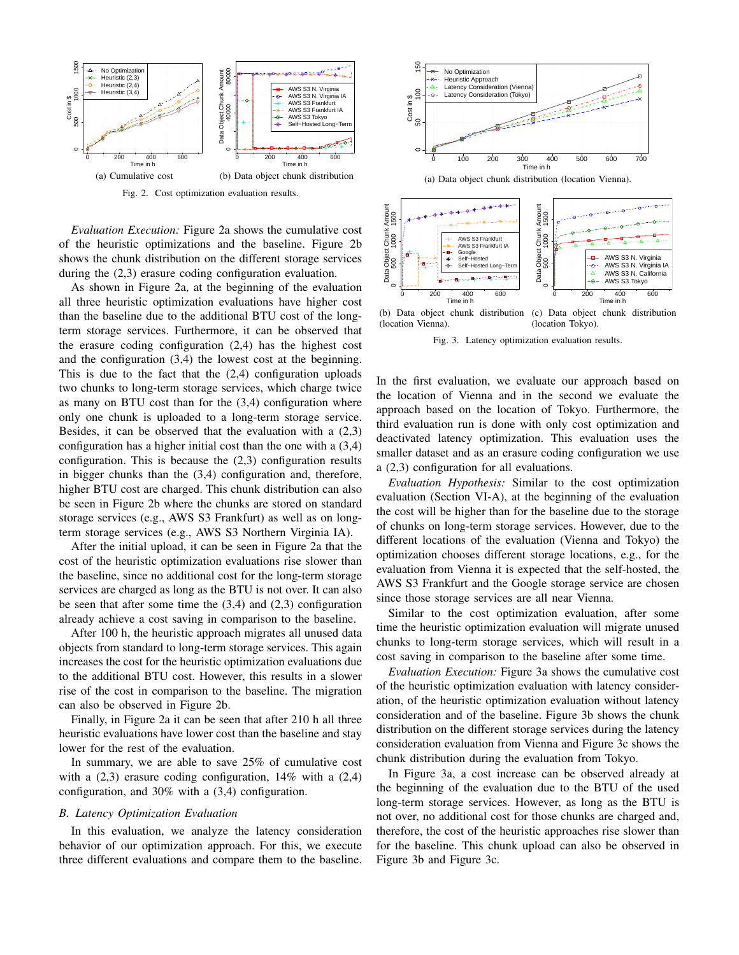

Fig. 2. Cost optimization evaluation results.

*Evaluation Execution:* Figure 2a shows the cumulative cost of the heuristic optimizations and the baseline. Figure 2b shows the chunk distribution on the different storage services during the (2,3) erasure coding configuration evaluation.

As shown in Figure 2a, at the beginning of the evaluation all three heuristic optimization evaluations have higher cost than the baseline due to the additional BTU cost of the longterm storage services. Furthermore, it can be observed that the erasure coding configuration (2,4) has the highest cost and the configuration (3,4) the lowest cost at the beginning. This is due to the fact that the  $(2,4)$  configuration uploads two chunks to long-term storage services, which charge twice as many on BTU cost than for the (3,4) configuration where only one chunk is uploaded to a long-term storage service. Besides, it can be observed that the evaluation with a (2,3) configuration has a higher initial cost than the one with a (3,4) configuration. This is because the (2,3) configuration results in bigger chunks than the (3,4) configuration and, therefore, higher BTU cost are charged. This chunk distribution can also be seen in Figure 2b where the chunks are stored on standard storage services (e.g., AWS S3 Frankfurt) as well as on longterm storage services (e.g., AWS S3 Northern Virginia IA).

After the initial upload, it can be seen in Figure 2a that the cost of the heuristic optimization evaluations rise slower than the baseline, since no additional cost for the long-term storage services are charged as long as the BTU is not over. It can also be seen that after some time the  $(3,4)$  and  $(2,3)$  configuration already achieve a cost saving in comparison to the baseline.

After 100 h, the heuristic approach migrates all unused data objects from standard to long-term storage services. This again increases the cost for the heuristic optimization evaluations due to the additional BTU cost. However, this results in a slower rise of the cost in comparison to the baseline. The migration can also be observed in Figure 2b.

Finally, in Figure 2a it can be seen that after 210 h all three heuristic evaluations have lower cost than the baseline and stay lower for the rest of the evaluation.

In summary, we are able to save 25% of cumulative cost with a  $(2,3)$  erasure coding configuration,  $14\%$  with a  $(2,4)$ configuration, and 30% with a (3,4) configuration.

#### *B. Latency Optimization Evaluation*

In this evaluation, we analyze the latency consideration behavior of our optimization approach. For this, we execute three different evaluations and compare them to the baseline.



(a) Data object chunk distribution (location Vienna).



(location Vienna). (c) Data object chunk distribution (location Tokyo).

Fig. 3. Latency optimization evaluation results.

In the first evaluation, we evaluate our approach based on the location of Vienna and in the second we evaluate the approach based on the location of Tokyo. Furthermore, the third evaluation run is done with only cost optimization and deactivated latency optimization. This evaluation uses the smaller dataset and as an erasure coding configuration we use a (2,3) configuration for all evaluations.

*Evaluation Hypothesis:* Similar to the cost optimization evaluation (Section VI-A), at the beginning of the evaluation the cost will be higher than for the baseline due to the storage of chunks on long-term storage services. However, due to the different locations of the evaluation (Vienna and Tokyo) the optimization chooses different storage locations, e.g., for the evaluation from Vienna it is expected that the self-hosted, the AWS S3 Frankfurt and the Google storage service are chosen since those storage services are all near Vienna.

Similar to the cost optimization evaluation, after some time the heuristic optimization evaluation will migrate unused chunks to long-term storage services, which will result in a cost saving in comparison to the baseline after some time.

*Evaluation Execution:* Figure 3a shows the cumulative cost of the heuristic optimization evaluation with latency consideration, of the heuristic optimization evaluation without latency consideration and of the baseline. Figure 3b shows the chunk distribution on the different storage services during the latency consideration evaluation from Vienna and Figure 3c shows the chunk distribution during the evaluation from Tokyo.

In Figure 3a, a cost increase can be observed already at the beginning of the evaluation due to the BTU of the used long-term storage services. However, as long as the BTU is not over, no additional cost for those chunks are charged and, therefore, the cost of the heuristic approaches rise slower than for the baseline. This chunk upload can also be observed in Figure 3b and Figure 3c.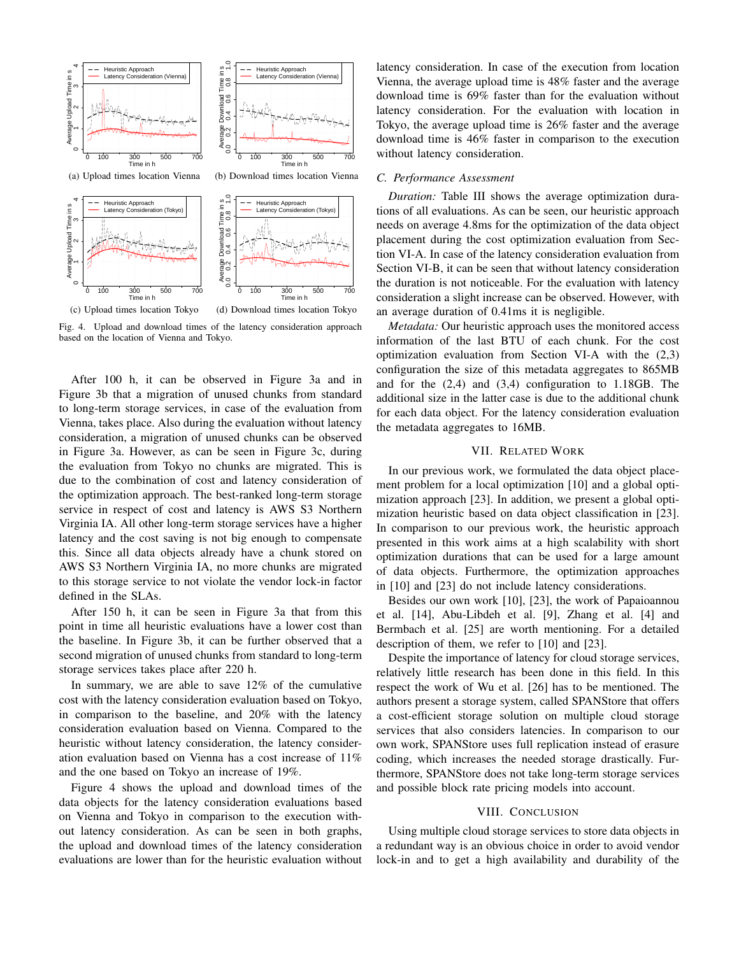

Fig. 4. Upload and download times of the latency consideration approach based on the location of Vienna and Tokyo.

After 100 h, it can be observed in Figure 3a and in Figure 3b that a migration of unused chunks from standard to long-term storage services, in case of the evaluation from Vienna, takes place. Also during the evaluation without latency consideration, a migration of unused chunks can be observed in Figure 3a. However, as can be seen in Figure 3c, during the evaluation from Tokyo no chunks are migrated. This is due to the combination of cost and latency consideration of the optimization approach. The best-ranked long-term storage service in respect of cost and latency is AWS S3 Northern Virginia IA. All other long-term storage services have a higher latency and the cost saving is not big enough to compensate this. Since all data objects already have a chunk stored on AWS S3 Northern Virginia IA, no more chunks are migrated to this storage service to not violate the vendor lock-in factor defined in the SLAs.

After 150 h, it can be seen in Figure 3a that from this point in time all heuristic evaluations have a lower cost than the baseline. In Figure 3b, it can be further observed that a second migration of unused chunks from standard to long-term storage services takes place after 220 h.

In summary, we are able to save 12% of the cumulative cost with the latency consideration evaluation based on Tokyo, in comparison to the baseline, and 20% with the latency consideration evaluation based on Vienna. Compared to the heuristic without latency consideration, the latency consideration evaluation based on Vienna has a cost increase of 11% and the one based on Tokyo an increase of 19%.

Figure 4 shows the upload and download times of the data objects for the latency consideration evaluations based on Vienna and Tokyo in comparison to the execution without latency consideration. As can be seen in both graphs, the upload and download times of the latency consideration evaluations are lower than for the heuristic evaluation without latency consideration. In case of the execution from location Vienna, the average upload time is 48% faster and the average download time is 69% faster than for the evaluation without latency consideration. For the evaluation with location in Tokyo, the average upload time is 26% faster and the average download time is 46% faster in comparison to the execution without latency consideration.

### *C. Performance Assessment*

*Duration:* Table III shows the average optimization durations of all evaluations. As can be seen, our heuristic approach needs on average 4.8ms for the optimization of the data object placement during the cost optimization evaluation from Section VI-A. In case of the latency consideration evaluation from Section VI-B, it can be seen that without latency consideration the duration is not noticeable. For the evaluation with latency consideration a slight increase can be observed. However, with an average duration of 0.41ms it is negligible.

*Metadata:* Our heuristic approach uses the monitored access information of the last BTU of each chunk. For the cost optimization evaluation from Section VI-A with the (2,3) configuration the size of this metadata aggregates to 865MB and for the (2,4) and (3,4) configuration to 1.18GB. The additional size in the latter case is due to the additional chunk for each data object. For the latency consideration evaluation the metadata aggregates to 16MB.

#### VII. RELATED WORK

In our previous work, we formulated the data object placement problem for a local optimization [10] and a global optimization approach [23]. In addition, we present a global optimization heuristic based on data object classification in [23]. In comparison to our previous work, the heuristic approach presented in this work aims at a high scalability with short optimization durations that can be used for a large amount of data objects. Furthermore, the optimization approaches in [10] and [23] do not include latency considerations.

Besides our own work [10], [23], the work of Papaioannou et al. [14], Abu-Libdeh et al. [9], Zhang et al. [4] and Bermbach et al. [25] are worth mentioning. For a detailed description of them, we refer to [10] and [23].

Despite the importance of latency for cloud storage services, relatively little research has been done in this field. In this respect the work of Wu et al. [26] has to be mentioned. The authors present a storage system, called SPANStore that offers a cost-efficient storage solution on multiple cloud storage services that also considers latencies. In comparison to our own work, SPANStore uses full replication instead of erasure coding, which increases the needed storage drastically. Furthermore, SPANStore does not take long-term storage services and possible block rate pricing models into account.

#### VIII. CONCLUSION

Using multiple cloud storage services to store data objects in a redundant way is an obvious choice in order to avoid vendor lock-in and to get a high availability and durability of the